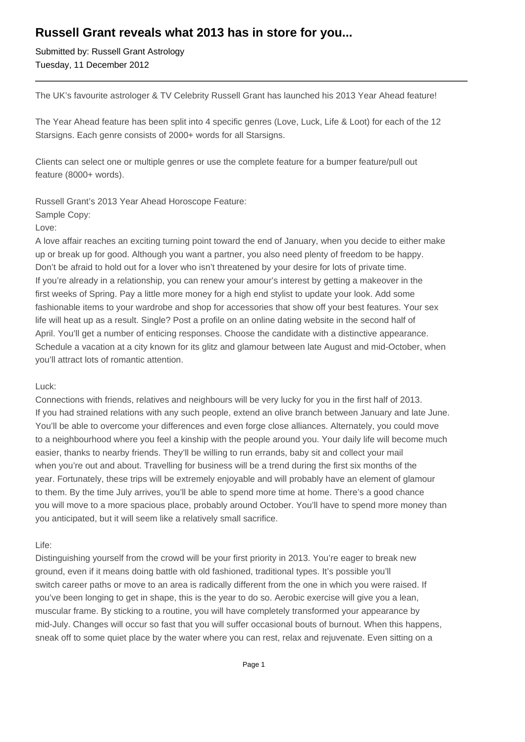# **Russell Grant reveals what 2013 has in store for you...**

Submitted by: Russell Grant Astrology Tuesday, 11 December 2012

The UK's favourite astrologer & TV Celebrity Russell Grant has launched his 2013 Year Ahead feature!

The Year Ahead feature has been split into 4 specific genres (Love, Luck, Life & Loot) for each of the 12 Starsigns. Each genre consists of 2000+ words for all Starsigns.

Clients can select one or multiple genres or use the complete feature for a bumper feature/pull out feature (8000+ words).

Russell Grant's 2013 Year Ahead Horoscope Feature:

#### Sample Copy:

Love:

A love affair reaches an exciting turning point toward the end of January, when you decide to either make up or break up for good. Although you want a partner, you also need plenty of freedom to be happy. Don't be afraid to hold out for a lover who isn't threatened by your desire for lots of private time. If you're already in a relationship, you can renew your amour's interest by getting a makeover in the first weeks of Spring. Pay a little more money for a high end stylist to update your look. Add some fashionable items to your wardrobe and shop for accessories that show off your best features. Your sex life will heat up as a result. Single? Post a profile on an online dating website in the second half of April. You'll get a number of enticing responses. Choose the candidate with a distinctive appearance. Schedule a vacation at a city known for its glitz and glamour between late August and mid-October, when you'll attract lots of romantic attention.

## Luck:

Connections with friends, relatives and neighbours will be very lucky for you in the first half of 2013. If you had strained relations with any such people, extend an olive branch between January and late June. You'll be able to overcome your differences and even forge close alliances. Alternately, you could move to a neighbourhood where you feel a kinship with the people around you. Your daily life will become much easier, thanks to nearby friends. They'll be willing to run errands, baby sit and collect your mail when you're out and about. Travelling for business will be a trend during the first six months of the year. Fortunately, these trips will be extremely enjoyable and will probably have an element of glamour to them. By the time July arrives, you'll be able to spend more time at home. There's a good chance you will move to a more spacious place, probably around October. You'll have to spend more money than you anticipated, but it will seem like a relatively small sacrifice.

## Life:

Distinguishing yourself from the crowd will be your first priority in 2013. You're eager to break new ground, even if it means doing battle with old fashioned, traditional types. It's possible you'll switch career paths or move to an area is radically different from the one in which you were raised. If you've been longing to get in shape, this is the year to do so. Aerobic exercise will give you a lean, muscular frame. By sticking to a routine, you will have completely transformed your appearance by mid-July. Changes will occur so fast that you will suffer occasional bouts of burnout. When this happens, sneak off to some quiet place by the water where you can rest, relax and rejuvenate. Even sitting on a